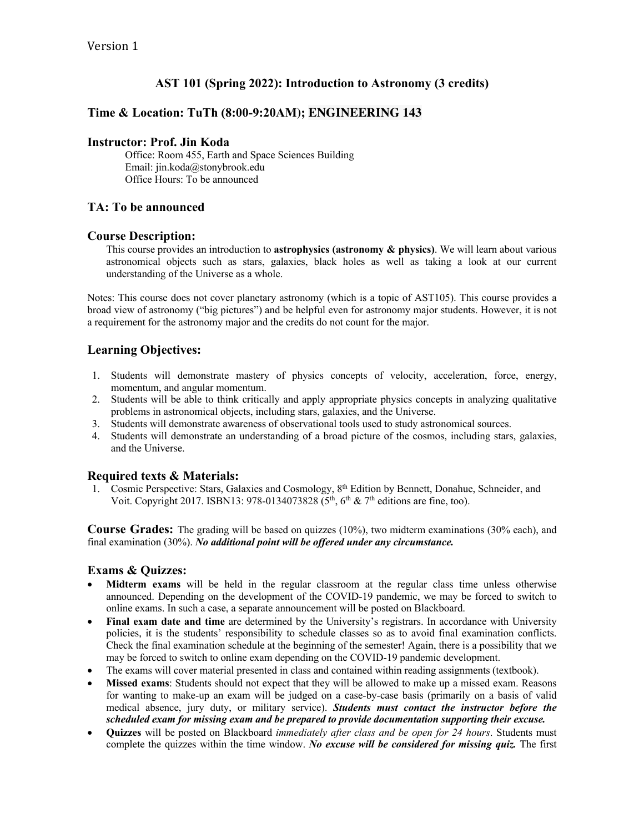# **AST 101 (Spring 2022): Introduction to Astronomy (3 credits)**

## **Time & Location: TuTh (8:00-9:20AM); ENGINEERING 143**

#### **Instructor: Prof. Jin Koda**

Office: Room 455, Earth and Space Sciences Building Email: jin.koda@stonybrook.edu Office Hours: To be announced

### **TA: To be announced**

#### **Course Description:**

This course provides an introduction to **astrophysics (astronomy & physics)**. We will learn about various astronomical objects such as stars, galaxies, black holes as well as taking a look at our current understanding of the Universe as a whole.

Notes: This course does not cover planetary astronomy (which is a topic of AST105). This course provides a broad view of astronomy ("big pictures") and be helpful even for astronomy major students. However, it is not a requirement for the astronomy major and the credits do not count for the major.

### **Learning Objectives:**

- 1. Students will demonstrate mastery of physics concepts of velocity, acceleration, force, energy, momentum, and angular momentum.
- 2. Students will be able to think critically and apply appropriate physics concepts in analyzing qualitative problems in astronomical objects, including stars, galaxies, and the Universe.
- 3. Students will demonstrate awareness of observational tools used to study astronomical sources.
- 4. Students will demonstrate an understanding of a broad picture of the cosmos, including stars, galaxies, and the Universe.

### **Required texts & Materials:**

1. Cosmic Perspective: Stars, Galaxies and Cosmology, 8th Edition by Bennett, Donahue, Schneider, and Voit. Copyright 2017. ISBN13: 978-0134073828 ( $5<sup>th</sup>$ ,  $6<sup>th</sup>$  & 7<sup>th</sup> editions are fine, too).

**Course Grades:** The grading will be based on quizzes (10%), two midterm examinations (30% each), and final examination (30%). *No additional point will be offered under any circumstance.*

### **Exams & Quizzes:**

- **Midterm exams** will be held in the regular classroom at the regular class time unless otherwise announced. Depending on the development of the COVID-19 pandemic, we may be forced to switch to online exams. In such a case, a separate announcement will be posted on Blackboard.
- **Final exam date and time** are determined by the University's registrars. In accordance with University policies, it is the students' responsibility to schedule classes so as to avoid final examination conflicts. Check the final examination schedule at the beginning of the semester! Again, there is a possibility that we may be forced to switch to online exam depending on the COVID-19 pandemic development.
- The exams will cover material presented in class and contained within reading assignments (textbook).
- **Missed exams**: Students should not expect that they will be allowed to make up a missed exam. Reasons for wanting to make-up an exam will be judged on a case-by-case basis (primarily on a basis of valid medical absence, jury duty, or military service). *Students must contact the instructor before the scheduled exam for missing exam and be prepared to provide documentation supporting their excuse.*
- **Quizzes** will be posted on Blackboard *immediately after class and be open for 24 hours*. Students must complete the quizzes within the time window. *No excuse will be considered for missing quiz.* The first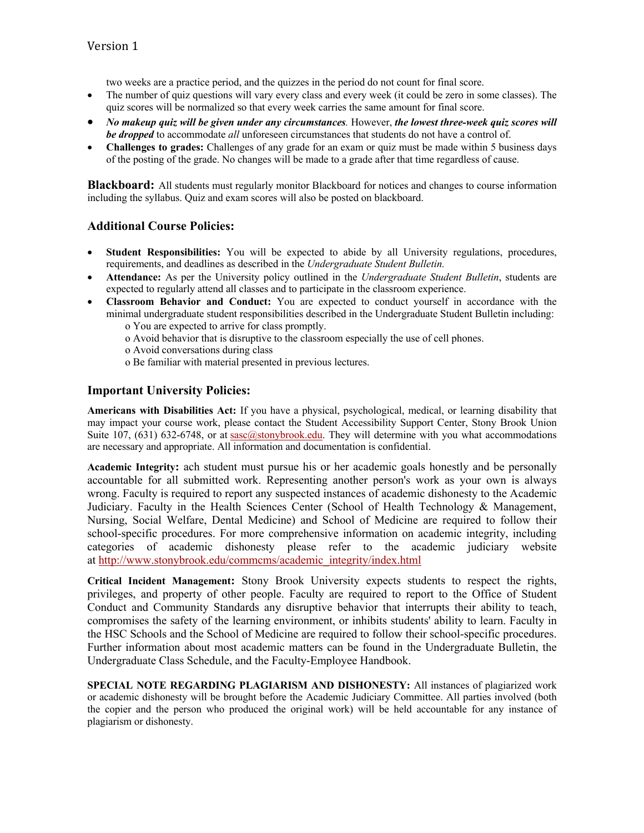two weeks are a practice period, and the quizzes in the period do not count for final score.

- The number of quiz questions will vary every class and every week (it could be zero in some classes). The quiz scores will be normalized so that every week carries the same amount for final score.
- *No makeup quiz will be given under any circumstances.* However, *the lowest three-week quiz scores will be dropped* to accommodate *all* unforeseen circumstances that students do not have a control of.
- **Challenges to grades:** Challenges of any grade for an exam or quiz must be made within 5 business days of the posting of the grade. No changes will be made to a grade after that time regardless of cause.

**Blackboard:** All students must regularly monitor Blackboard for notices and changes to course information including the syllabus. Quiz and exam scores will also be posted on blackboard.

### **Additional Course Policies:**

- **Student Responsibilities:** You will be expected to abide by all University regulations, procedures, requirements, and deadlines as described in the *Undergraduate Student Bulletin.*
- **Attendance:** As per the University policy outlined in the *Undergraduate Student Bulletin*, students are expected to regularly attend all classes and to participate in the classroom experience.
- **Classroom Behavior and Conduct:** You are expected to conduct yourself in accordance with the minimal undergraduate student responsibilities described in the Undergraduate Student Bulletin including: o You are expected to arrive for class promptly.
	- o Avoid behavior that is disruptive to the classroom especially the use of cell phones.
	-
	- o Avoid conversations during class
	- o Be familiar with material presented in previous lectures.

### **Important University Policies:**

**Americans with Disabilities Act:** If you have a physical, psychological, medical, or learning disability that may impact your course work, please contact the Student Accessibility Support Center, Stony Brook Union Suite 107, (631) 632-6748, or at sasc@stonybrook.edu. They will determine with you what accommodations are necessary and appropriate. All information and documentation is confidential.

**Academic Integrity:** ach student must pursue his or her academic goals honestly and be personally accountable for all submitted work. Representing another person's work as your own is always wrong. Faculty is required to report any suspected instances of academic dishonesty to the Academic Judiciary. Faculty in the Health Sciences Center (School of Health Technology & Management, Nursing, Social Welfare, Dental Medicine) and School of Medicine are required to follow their school-specific procedures. For more comprehensive information on academic integrity, including categories of academic dishonesty please refer to the academic judiciary website at http://www.stonybrook.edu/commcms/academic\_integrity/index.html

**Critical Incident Management:** Stony Brook University expects students to respect the rights, privileges, and property of other people. Faculty are required to report to the Office of Student Conduct and Community Standards any disruptive behavior that interrupts their ability to teach, compromises the safety of the learning environment, or inhibits students' ability to learn. Faculty in the HSC Schools and the School of Medicine are required to follow their school-specific procedures. Further information about most academic matters can be found in the Undergraduate Bulletin, the Undergraduate Class Schedule, and the Faculty-Employee Handbook.

**SPECIAL NOTE REGARDING PLAGIARISM AND DISHONESTY:** All instances of plagiarized work or academic dishonesty will be brought before the Academic Judiciary Committee. All parties involved (both the copier and the person who produced the original work) will be held accountable for any instance of plagiarism or dishonesty.